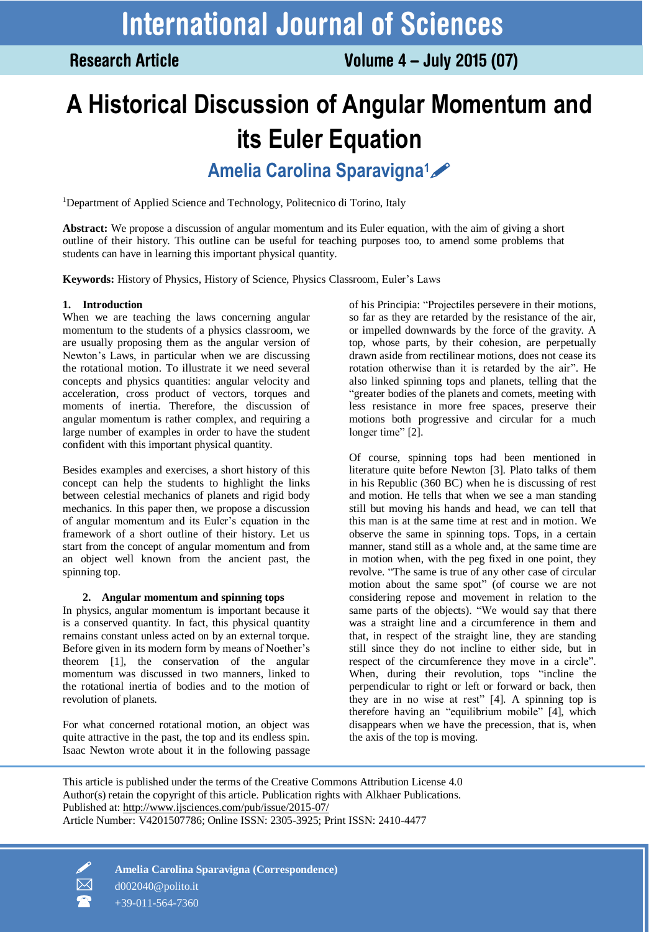**Research Article** 

# **A Historical Discussion of Angular Momentum and its Euler Equation Amelia Carolina Sparavigna1**

<sup>1</sup>Department of Applied Science and Technology, Politecnico di Torino, Italy

**Abstract:** We propose a discussion of angular momentum and its Euler equation, with the aim of giving a short outline of their history. This outline can be useful for teaching purposes too, to amend some problems that students can have in learning this important physical quantity.

**Keywords:** History of Physics, History of Science, Physics Classroom, Euler's Laws

# **1. Introduction**

When we are teaching the laws concerning angular momentum to the students of a physics classroom, we are usually proposing them as the angular version of Newton's Laws, in particular when we are discussing the rotational motion. To illustrate it we need several concepts and physics quantities: angular velocity and acceleration, cross product of vectors, torques and moments of inertia. Therefore, the discussion of angular momentum is rather complex, and requiring a large number of examples in order to have the student confident with this important physical quantity.

Besides examples and exercises, a short history of this concept can help the students to highlight the links between celestial mechanics of planets and rigid body mechanics. In this paper then, we propose a discussion of angular momentum and its Euler's equation in the framework of a short outline of their history. Let us start from the concept of angular momentum and from an object well known from the ancient past, the spinning top.

## **2. Angular momentum and spinning tops**

In physics, angular momentum is important because it is a conserved quantity. In fact, this physical quantity remains constant unless acted on by an external torque. Before given in its modern form by means of Noether's theorem [1], the conservation of the angular momentum was discussed in two manners, linked to the rotational inertia of bodies and to the motion of revolution of planets.

For what concerned rotational motion, an object was quite attractive in the past, the top and its endless spin. Isaac Newton wrote about it in the following passage of his Principia: "Projectiles persevere in their motions, so far as they are retarded by the resistance of the air, or impelled downwards by the force of the gravity. A top, whose parts, by their cohesion, are perpetually drawn aside from rectilinear motions, does not cease its rotation otherwise than it is retarded by the air". He also linked spinning tops and planets, telling that the "greater bodies of the planets and comets, meeting with less resistance in more free spaces, preserve their motions both progressive and circular for a much longer time" [21.

Of course, spinning tops had been mentioned in literature quite before Newton [3]. Plato talks of them in his Republic (360 BC) when he is discussing of rest and motion. He tells that when we see a man standing still but moving his hands and head, we can tell that this man is at the same time at rest and in motion. We observe the same in spinning tops. Tops, in a certain manner, stand still as a whole and, at the same time are in motion when, with the peg fixed in one point, they revolve. "The same is true of any other case of circular motion about the same spot" (of course we are not considering repose and movement in relation to the same parts of the objects). "We would say that there was a straight line and a circumference in them and that, in respect of the straight line, they are standing still since they do not incline to either side, but in respect of the circumference they move in a circle". When, during their revolution, tops "incline the perpendicular to right or left or forward or back, then they are in no wise at rest" [4]. A spinning top is therefore having an "equilibrium mobile" [4], which disappears when we have the precession, that is, when the axis of the top is moving.

This article is published under the terms of the Creative Commons Attribution License 4.0 Author(s) retain the copyright of this article. Publication rights with Alkhaer Publications. Published at:<http://www.ijsciences.com/pub/issue/2015-07/> Article Number: V4201507786; Online ISSN: 2305-3925; Print ISSN: 2410-4477



 **Amelia Carolina Sparavigna (Correspondence)** d002040@polito.it +39-011-564-7360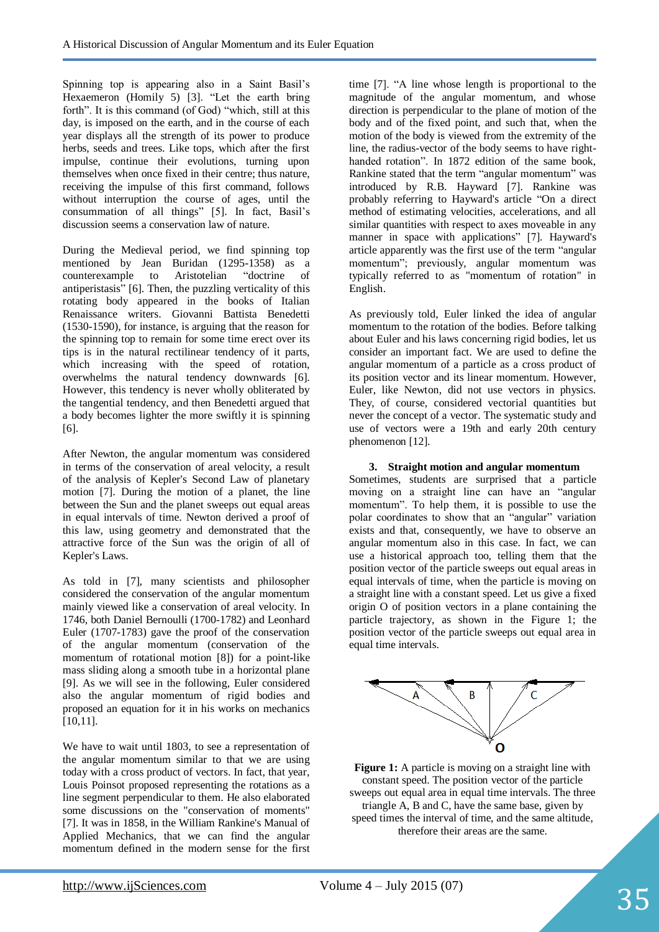Spinning top is appearing also in a Saint Basil's Hexaemeron (Homily 5) [3]. "Let the earth bring forth". It is this command (of God) "which, still at this day, is imposed on the earth, and in the course of each year displays all the strength of its power to produce herbs, seeds and trees. Like tops, which after the first impulse, continue their evolutions, turning upon themselves when once fixed in their centre; thus nature, receiving the impulse of this first command, follows without interruption the course of ages, until the consummation of all things" [5]. In fact, Basil's discussion seems a conservation law of nature.

During the Medieval period, we find spinning top mentioned by Jean Buridan (1295-1358) as a counterexample to Aristotelian "doctrine of antiperistasis" [6]. Then, the puzzling verticality of this rotating body appeared in the books of Italian Renaissance writers. Giovanni Battista Benedetti (1530-1590), for instance, is arguing that the reason for the spinning top to remain for some time erect over its tips is in the natural rectilinear tendency of it parts, which increasing with the speed of rotation, overwhelms the natural tendency downwards [6]. However, this tendency is never wholly obliterated by the tangential tendency, and then Benedetti argued that a body becomes lighter the more swiftly it is spinning [6].

After Newton, the angular momentum was considered in terms of the conservation of areal velocity, a result of the analysis of Kepler's Second Law of planetary motion [7]. During the motion of a planet, the line between the Sun and the planet sweeps out equal areas in equal intervals of time. Newton derived a proof of this law, using geometry and demonstrated that the attractive force of the Sun was the origin of all of Kepler's Laws.

As told in [7], many scientists and philosopher considered the conservation of the angular momentum mainly viewed like a conservation of areal velocity. In 1746, both Daniel Bernoulli (1700-1782) and Leonhard Euler (1707-1783) gave the proof of the conservation of the angular momentum (conservation of the momentum of rotational motion [8]) for a point-like mass sliding along a smooth tube in a horizontal plane [9]. As we will see in the following, Euler considered also the angular momentum of rigid bodies and proposed an equation for it in his works on mechanics [10,11].

We have to wait until 1803, to see a representation of the angular momentum similar to that we are using today with a cross product of vectors. In fact, that year, Louis Poinsot proposed representing the rotations as a line segment perpendicular to them. He also elaborated some discussions on the "conservation of moments" [7]. It was in 1858, in the William Rankine's Manual of Applied Mechanics, that we can find the angular momentum defined in the modern sense for the first

time [7]. "A line whose length is proportional to the magnitude of the angular momentum, and whose direction is perpendicular to the plane of motion of the body and of the fixed point, and such that, when the motion of the body is viewed from the extremity of the line, the radius-vector of the body seems to have righthanded rotation". In 1872 edition of the same book, Rankine stated that the term "angular momentum" was introduced by R.B. Hayward [7]. Rankine was probably referring to Hayward's article "On a direct method of estimating velocities, accelerations, and all similar quantities with respect to axes moveable in any manner in space with applications" [7]. Hayward's article apparently was the first use of the term "angular momentum"; previously, angular momentum was typically referred to as "momentum of rotation" in English.

As previously told, Euler linked the idea of angular momentum to the rotation of the bodies. Before talking about Euler and his laws concerning rigid bodies, let us consider an important fact. We are used to define the angular momentum of a particle as a cross product of its position vector and its linear momentum. However, Euler, like Newton, did not use vectors in physics. They, of course, considered vectorial quantities but never the concept of a vector. The systematic study and use of vectors were a 19th and early 20th century phenomenon [12].

## **3. Straight motion and angular momentum**

Sometimes, students are surprised that a particle moving on a straight line can have an "angular momentum". To help them, it is possible to use the polar coordinates to show that an "angular" variation exists and that, consequently, we have to observe an angular momentum also in this case. In fact, we can use a historical approach too, telling them that the position vector of the particle sweeps out equal areas in equal intervals of time, when the particle is moving on a straight line with a constant speed. Let us give a fixed origin O of position vectors in a plane containing the particle trajectory, as shown in the Figure 1; the position vector of the particle sweeps out equal area in equal time intervals.



**Figure 1:** A particle is moving on a straight line with constant speed. The position vector of the particle sweeps out equal area in equal time intervals. The three triangle A, B and C, have the same base, given by speed times the interval of time, and the same altitude, therefore their areas are the same.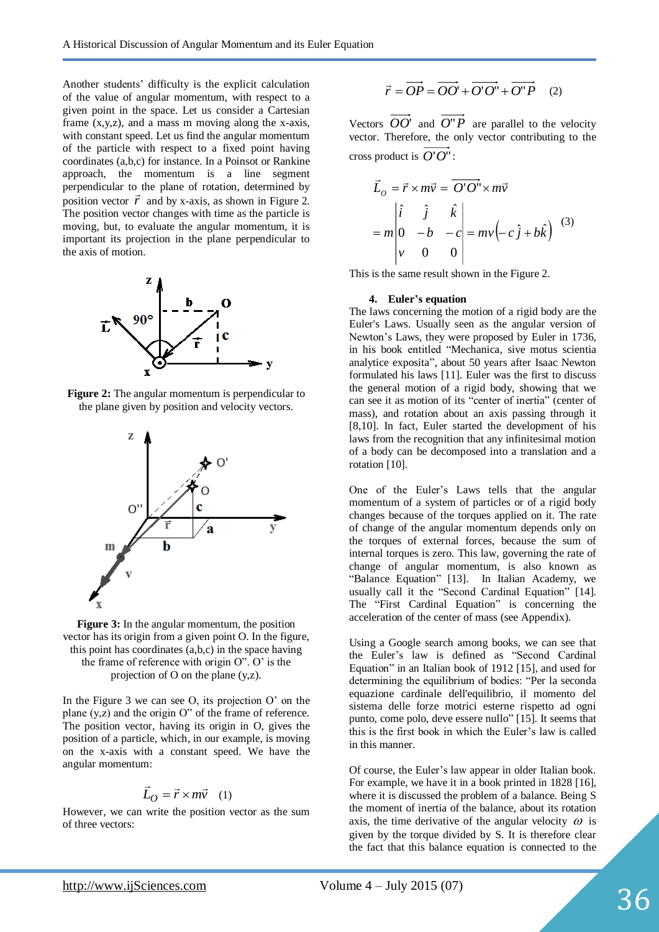Another students' difficulty is the explicit calculation of the value of angular momentum, with respect to a given point in the space. Let us consider a Cartesian frame (x,y,z), and a mass m moving along the x-axis, with constant speed. Let us find the angular momentum of the particle with respect to a fixed point having coordinates (a,b,c) for instance. In a Poinsot or Rankine approach, the momentum is a line segment perpendicular to the plane of rotation, determined by position vector  $\vec{r}$  and by x-axis, as shown in Figure 2. The position vector changes with time as the particle is moving, but, to evaluate the angular momentum, it is important its projection in the plane perpendicular to the axis of motion.



**Figure 2:** The angular momentum is perpendicular to the plane given by position and velocity vectors.



**Figure 3:** In the angular momentum, the position vector has its origin from a given point O. In the figure, this point has coordinates (a,b,c) in the space having the frame of reference with origin O". O' is the projection of O on the plane (y,z).

In the Figure 3 we can see  $O$ , its projection  $O'$  on the plane (y,z) and the origin O" of the frame of reference. The position vector, having its origin in O, gives the position of a particle, which, in our example, is moving on the x-axis with a constant speed. We have the angular momentum:

# $\vec{L}_O = \vec{r} \times m\vec{v}$  (1)

However, we can write the position vector as the sum of three vectors:

$$
\vec{r} = \overrightarrow{OP} = \overrightarrow{OO'} + \overrightarrow{O'O'} + \overrightarrow{O''P} \quad (2)
$$

Vectors  $OO'$  and  $O''P$  are parallel to the velocity vector. Therefore, the only vector contributing to the cross product is *O*'*O*" :

$$
\vec{L}_o = \vec{r} \times m\vec{v} = \overrightarrow{O'O'} \times m\vec{v}
$$
  
=  $m \begin{vmatrix} \hat{i} & \hat{j} & \hat{k} \\ 0 & -b & -c \\ v & 0 & 0 \end{vmatrix} = mv(-c\hat{j} + b\hat{k})$  (3)

This is the same result shown in the Figure 2.

#### **4. Euler's equation**

The laws concerning the motion of a rigid body are the Euler's Laws. Usually seen as the angular version of Newton's Laws, they were proposed by Euler in 1736, in his book entitled "Mechanica, sive motus scientia analytice exposita", about 50 years after Isaac Newton formulated his laws [11]. Euler was the first to discuss the general motion of a rigid body, showing that we can see it as motion of its "center of inertia" (center of mass), and rotation about an axis passing through it [8,10]. In fact, Euler started the development of his laws from the recognition that any infinitesimal motion of a body can be decomposed into a translation and a rotation [10].

One of the Euler's Laws tells that the angular momentum of a system of particles or of a rigid body changes because of the torques applied on it. The rate of change of the angular momentum depends only on the torques of external forces, because the sum of internal torques is zero. This law, governing the rate of change of angular momentum, is also known as "Balance Equation" [13]. In Italian Academy, we usually call it the "Second Cardinal Equation" [14]. The "First Cardinal Equation" is concerning the acceleration of the center of mass (see Appendix).

Using a Google search among books, we can see that the Euler's law is defined as "Second Cardinal Equation" in an Italian book of 1912 [15], and used for determining the equilibrium of bodies: "Per la seconda equazione cardinale dell'equilibrio, il momento del sistema delle forze motrici esterne rispetto ad ogni punto, come polo, deve essere nullo" [15]. It seems that this is the first book in which the Euler's law is called in this manner.

Of course, the Euler's law appear in older Italian book. For example, we have it in a book printed in 1828 [16], where it is discussed the problem of a balance. Being S the moment of inertia of the balance, about its rotation axis, the time derivative of the angular velocity  $\omega$  is given by the torque divided by S. It is therefore clear the fact that this balance equation is connected to the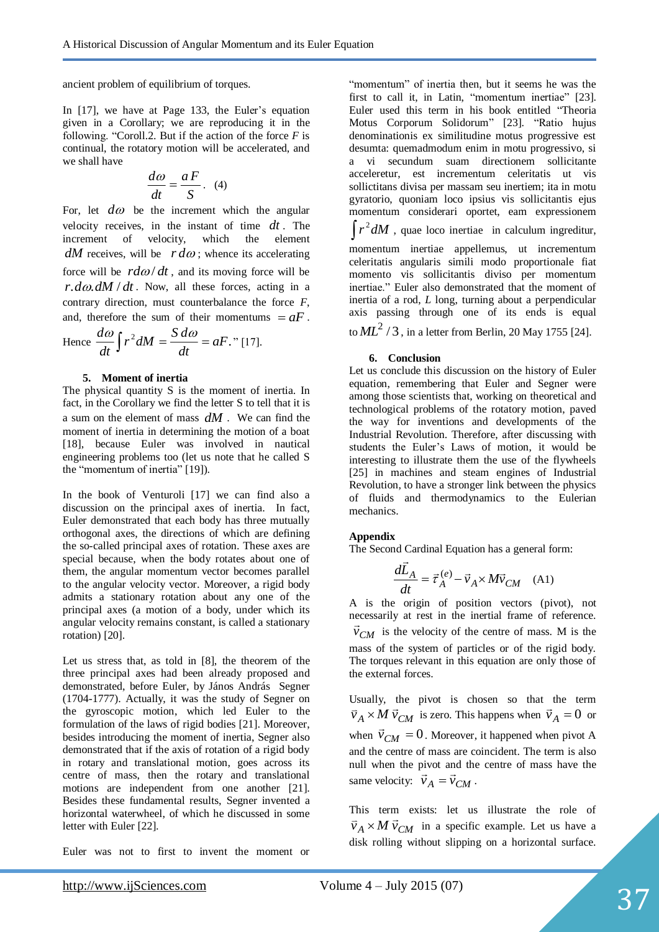ancient problem of equilibrium of torques.

In [17], we have at Page 133, the Euler's equation given in a Corollary; we are reproducing it in the following. "Coroll.2. But if the action of the force *F* is continual, the rotatory motion will be accelerated, and we shall have

$$
\frac{d\omega}{dt} = \frac{aF}{S}.
$$
 (4)

For, let  $d\omega$  be the increment which the angular velocity receives, in the instant of time *dt* . The increment of velocity, which the element  $dM$  receives, will be  $r d\omega$ ; whence its accelerating force will be  $\frac{r d\omega}{dt}$ , and its moving force will be  $r. d\omega. dM/dt$ . Now, all these forces, acting in a contrary direction, must counterbalance the force *F*, and, therefore the sum of their momentums  $= aF$ .

Hence 
$$
\frac{d\omega}{dt} \int r^2 dM = \frac{S d\omega}{dt} = aF
$$
. "[17].

#### **5. Moment of inertia**

The physical quantity S is the moment of inertia. In fact, in the Corollary we find the letter S to tell that it is a sum on the element of mass *dM* . We can find the moment of inertia in determining the motion of a boat [18], because Euler was involved in nautical engineering problems too (let us note that he called S the "momentum of inertia" [19]).

In the book of Venturoli [17] we can find also a discussion on the principal axes of inertia. In fact, Euler demonstrated that each body has three mutually orthogonal axes, the directions of which are defining the so-called principal axes of rotation. These axes are special because, when the body rotates about one of them, the angular momentum vector becomes parallel to the angular velocity vector. Moreover, a rigid body admits a stationary rotation about any one of the principal axes (a motion of a body, under which its angular velocity remains constant, is called a stationary rotation) [20].

Let us stress that, as told in [8], the theorem of the three principal axes had been already proposed and demonstrated, before Euler, by János András Segner (1704-1777). Actually, it was the study of Segner on the gyroscopic motion, which led Euler to the formulation of the laws of rigid bodies [21]. Moreover, besides introducing the moment of inertia, Segner also demonstrated that if the axis of rotation of a rigid body in rotary and translational motion, goes across its centre of mass, then the rotary and translational motions are independent from one another [21]. Besides these fundamental results, Segner invented a horizontal waterwheel, of which he discussed in some letter with Euler [22].

Euler was not to first to invent the moment or

"momentum" of inertia then, but it seems he was the first to call it, in Latin, "momentum inertiae" [23]. Euler used this term in his book entitled "Theoria Motus Corporum Solidorum" [23]. "Ratio hujus denominationis ex similitudine motus progressive est desumta: quemadmodum enim in motu progressivo, si a vi secundum suam directionem sollicitante acceleretur, est incrementum celeritatis ut vis sollictitans divisa per massam seu inertiem; ita in motu gyratorio, quoniam loco ipsius vis sollicitantis ejus momentum considerari oportet, eam expressionem  $\int r^2 dM$ , quae loco inertiae in calculum ingreditur,

momentum inertiae appellemus, ut incrementum celeritatis angularis simili modo proportionale fiat momento vis sollicitantis diviso per momentum inertiae." Euler also demonstrated that the moment of inertia of a rod, *L* long, turning about a perpendicular axis passing through one of its ends is equal

to  $ML^2$  / 3, in a letter from Berlin, 20 May 1755 [24].

#### **6. Conclusion**

Let us conclude this discussion on the history of Euler equation, remembering that Euler and Segner were among those scientists that, working on theoretical and technological problems of the rotatory motion, paved the way for inventions and developments of the Industrial Revolution. Therefore, after discussing with students the Euler's Laws of motion, it would be interesting to illustrate them the use of the flywheels [25] in machines and steam engines of Industrial Revolution, to have a stronger link between the physics of fluids and thermodynamics to the Eulerian mechanics.

#### **Appendix**

The Second Cardinal Equation has a general form:

$$
\frac{d\vec{L}_A}{dt} = \vec{\tau}_A^{(e)} - \vec{v}_A \times M\vec{v}_{CM} \quad (A1)
$$

A is the origin of position vectors (pivot), not necessarily at rest in the inertial frame of reference.  $\vec{v}_{CM}$  is the velocity of the centre of mass. M is the mass of the system of particles or of the rigid body. The torques relevant in this equation are only those of the external forces.

Usually, the pivot is chosen so that the term  $\vec{v}_A \times M \vec{v}_{CM}$  is zero. This happens when  $\vec{v}_A = 0$  or when  $\vec{v}_{CM} = 0$ . Moreover, it happened when pivot A and the centre of mass are coincident. The term is also null when the pivot and the centre of mass have the same velocity:  $\vec{v}_A = \vec{v}_{CM}$ .

This term exists: let us illustrate the role of  $\vec{v}_A \times M \vec{v}_{CM}$  in a specific example. Let us have a disk rolling without slipping on a horizontal surface.